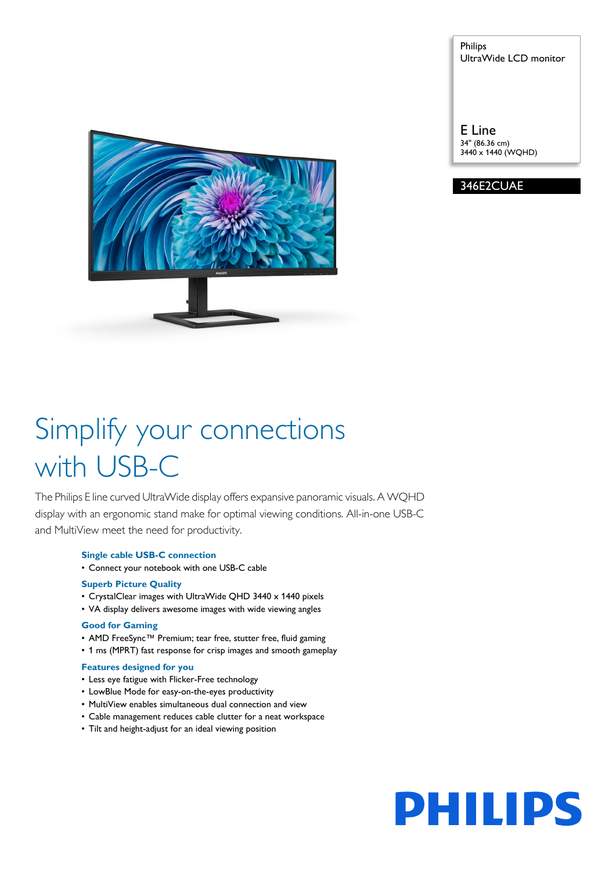Philips UltraWide LCD monitor

E Line 34" (86.36 cm) 3440 x 1440 (WQHD)

346E2CUAE



# Simplify your connections with USB-C

The Philips E line curved UltraWide display offers expansive panoramic visuals. A WQHD display with an ergonomic stand make for optimal viewing conditions. All-in-one USB-C and MultiView meet the need for productivity.

# **Single cable USB-C connection**

• Connect your notebook with one USB-C cable

# **Superb Picture Quality**

- CrystalClear images with UltraWide QHD 3440 x 1440 pixels
- VA display delivers awesome images with wide viewing angles

# **Good for Gaming**

- AMD FreeSync™ Premium; tear free, stutter free, fluid gaming
- 1 ms (MPRT) fast response for crisp images and smooth gameplay

# **Features designed for you**

- Less eye fatigue with Flicker-Free technology
- LowBlue Mode for easy-on-the-eyes productivity
- MultiView enables simultaneous dual connection and view
- Cable management reduces cable clutter for a neat workspace
- Tilt and height-adjust for an ideal viewing position

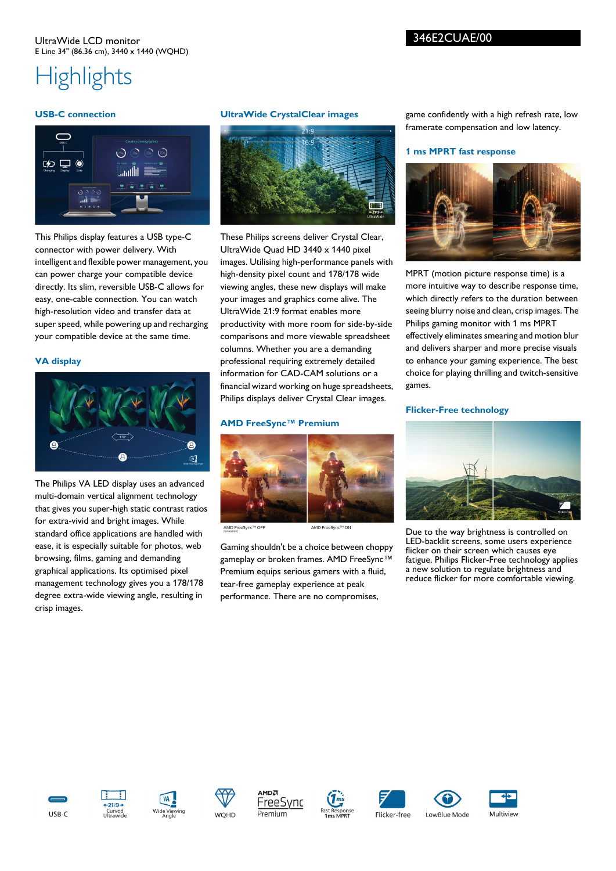# UltraWide LCD monitor E Line 34" (86.36 cm), 3440 x 1440 (WQHD)

# **Highlights**

# **USB-C connection**



This Philips display features a USB type-C connector with power delivery. With intelligent and flexible power management, you can power charge your compatible device directly. Its slim, reversible USB-C allows for easy, one-cable connection. You can watch high-resolution video and transfer data at super speed, while powering up and recharging your compatible device at the same time.

# **VA display**



The Philips VA LED display uses an advanced multi-domain vertical alignment technology that gives you super-high static contrast ratios for extra-vivid and bright images. While standard office applications are handled with ease, it is especially suitable for photos, web browsing, films, gaming and demanding graphical applications. Its optimised pixel management technology gives you a 178/178 degree extra-wide viewing angle, resulting in crisp images.

# **UltraWide CrystalClear images**



These Philips screens deliver Crystal Clear, UltraWide Quad HD 3440 x 1440 pixel images. Utilising high-performance panels with high-density pixel count and 178/178 wide viewing angles, these new displays will make your images and graphics come alive. The UltraWide 21:9 format enables more productivity with more room for side-by-side comparisons and more viewable spreadsheet columns. Whether you are a demanding professional requiring extremely detailed information for CAD-CAM solutions or a financial wizard working on huge spreadsheets, Philips displays deliver Crystal Clear images.

## **AMD FreeSync™ Premium**



AMD FreeSync™ OFF

Gaming shouldn't be a choice between choppy gameplay or broken frames. AMD FreeSync™ Premium equips serious gamers with a fluid, tear-free gameplay experience at peak performance. There are no compromises,

game confidently with a high refresh rate, low framerate compensation and low latency.

## **1 ms MPRT fast response**



MPRT (motion picture response time) is a more intuitive way to describe response time, which directly refers to the duration between seeing blurry noise and clean, crisp images. The Philips gaming monitor with 1 ms MPRT effectively eliminates smearing and motion blur and delivers sharper and more precise visuals to enhance your gaming experience. The best choice for playing thrilling and twitch-sensitive games.

#### **Flicker-Free technology**



Due to the way brightness is controlled on LED-backlit screens, some users experience flicker on their screen which causes eye fatigue. Philips Flicker-Free technology applies a new solution to regulate brightness and reduce flicker for more comfortable viewing.



















LowBlue Mode